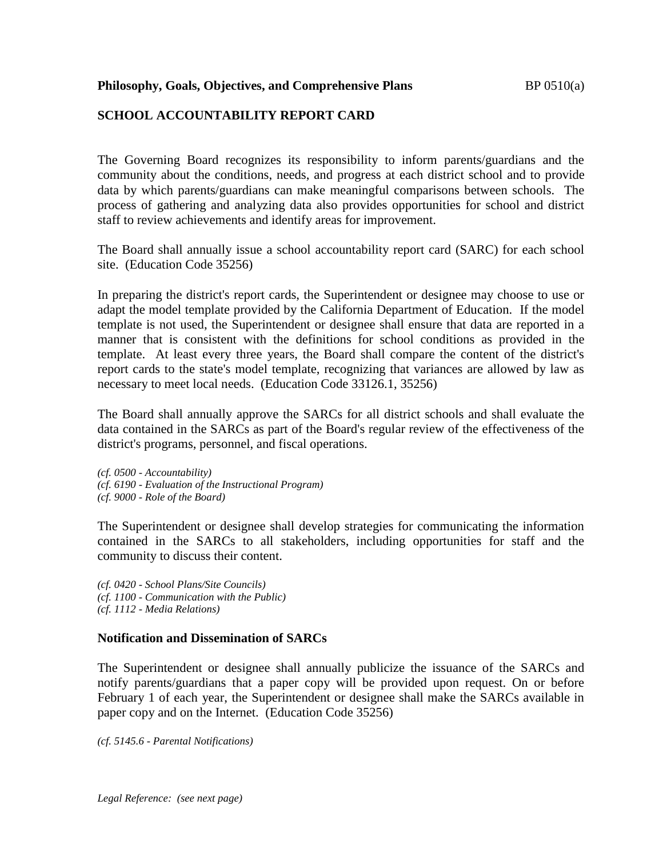# **SCHOOL ACCOUNTABILITY REPORT CARD**

The Governing Board recognizes its responsibility to inform parents/guardians and the community about the conditions, needs, and progress at each district school and to provide data by which parents/guardians can make meaningful comparisons between schools. The process of gathering and analyzing data also provides opportunities for school and district staff to review achievements and identify areas for improvement.

The Board shall annually issue a school accountability report card (SARC) for each school site. (Education Code 35256)

In preparing the district's report cards, the Superintendent or designee may choose to use or adapt the model template provided by the California Department of Education. If the model template is not used, the Superintendent or designee shall ensure that data are reported in a manner that is consistent with the definitions for school conditions as provided in the template. At least every three years, the Board shall compare the content of the district's report cards to the state's model template, recognizing that variances are allowed by law as necessary to meet local needs. (Education Code 33126.1, 35256)

The Board shall annually approve the SARCs for all district schools and shall evaluate the data contained in the SARCs as part of the Board's regular review of the effectiveness of the district's programs, personnel, and fiscal operations.

*(cf. 0500 - Accountability) (cf. 6190 - Evaluation of the Instructional Program) (cf. 9000 - Role of the Board)*

The Superintendent or designee shall develop strategies for communicating the information contained in the SARCs to all stakeholders, including opportunities for staff and the community to discuss their content.

*(cf. 0420 - School Plans/Site Councils) (cf. 1100 - Communication with the Public) (cf. 1112 - Media Relations)*

### **Notification and Dissemination of SARCs**

The Superintendent or designee shall annually publicize the issuance of the SARCs and notify parents/guardians that a paper copy will be provided upon request. On or before February 1 of each year, the Superintendent or designee shall make the SARCs available in paper copy and on the Internet. (Education Code 35256)

*(cf. 5145.6 - Parental Notifications)*

*Legal Reference: (see next page)*